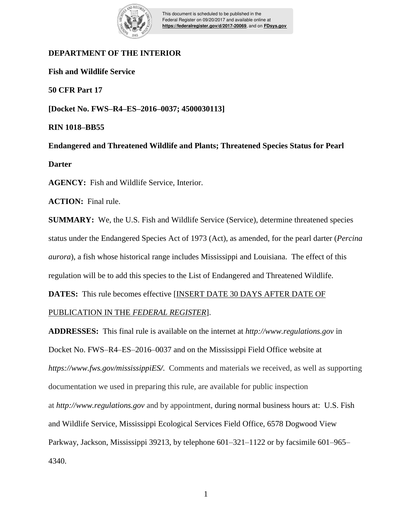

This document is scheduled to be published in the Federal Register on 09/20/2017 and available online at **https://federalregister.gov/d/2017-20069**, and on **FDsys.gov**

# **DEPARTMENT OF THE INTERIOR**

**Fish and Wildlife Service**

**50 CFR Part 17**

**[Docket No. FWS–R4–ES–2016–0037; 4500030113]**

**RIN 1018–BB55**

**Endangered and Threatened Wildlife and Plants; Threatened Species Status for Pearl Darter**

**AGENCY:** Fish and Wildlife Service, Interior.

**ACTION:** Final rule.

**SUMMARY:** We, the U.S. Fish and Wildlife Service (Service), determine threatened species status under the Endangered Species Act of 1973 (Act), as amended, for the pearl darter (*Percina aurora*), a fish whose historical range includes Mississippi and Louisiana. The effect of this regulation will be to add this species to the List of Endangered and Threatened Wildlife.

**DATES:** This rule becomes effective [INSERT DATE 30 DAYS AFTER DATE OF

# PUBLICATION IN THE *FEDERAL REGISTER*].

**ADDRESSES:** This final rule is available on the internet at *http://www.regulations.gov* in Docket No. FWS–R4–ES–2016–0037 and on the Mississippi Field Office website at *https://www.fws.gov/mississippiES/*. Comments and materials we received, as well as supporting documentation we used in preparing this rule, are available for public inspection at *http://www.regulations.gov* and by appointment, during normal business hours at: U.S. Fish and Wildlife Service, Mississippi Ecological Services Field Office, 6578 Dogwood View Parkway, Jackson, Mississippi 39213, by telephone 601–321–1122 or by facsimile 601–965– 4340.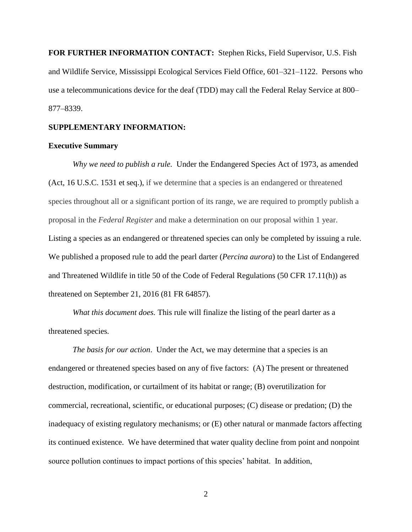**FOR FURTHER INFORMATION CONTACT:** Stephen Ricks, Field Supervisor, U.S. Fish and Wildlife Service, Mississippi Ecological Services Field Office, 601–321–1122. Persons who use a telecommunications device for the deaf (TDD) may call the Federal Relay Service at 800– 877–8339.

### **SUPPLEMENTARY INFORMATION:**

### **Executive Summary**

*Why we need to publish a rule.* Under the Endangered Species Act of 1973, as amended (Act, 16 U.S.C. 1531 et seq.), if we determine that a species is an endangered or threatened species throughout all or a significant portion of its range, we are required to promptly publish a proposal in the *Federal Register* and make a determination on our proposal within 1 year. Listing a species as an endangered or threatened species can only be completed by issuing a rule. We published a proposed rule to add the pearl darter (*Percina aurora*) to the List of Endangered and Threatened Wildlife in title 50 of the Code of Federal Regulations (50 CFR 17.11(h)) as threatened on September 21, 2016 (81 FR 64857).

*What this document does.* This rule will finalize the listing of the pearl darter as a threatened species*.*

*The basis for our action*. Under the Act, we may determine that a species is an endangered or threatened species based on any of five factors: (A) The present or threatened destruction, modification, or curtailment of its habitat or range; (B) overutilization for commercial, recreational, scientific, or educational purposes; (C) disease or predation; (D) the inadequacy of existing regulatory mechanisms; or (E) other natural or manmade factors affecting its continued existence. We have determined that water quality decline from point and nonpoint source pollution continues to impact portions of this species' habitat. In addition,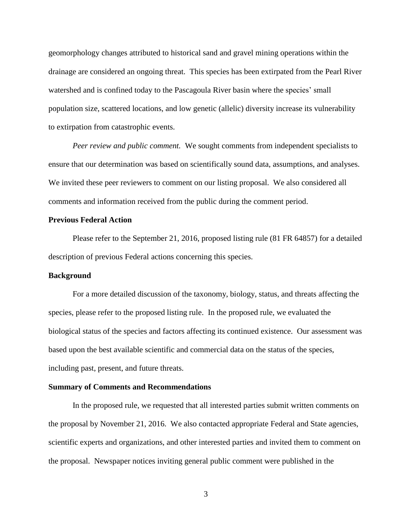geomorphology changes attributed to historical sand and gravel mining operations within the drainage are considered an ongoing threat. This species has been extirpated from the Pearl River watershed and is confined today to the Pascagoula River basin where the species' small population size, scattered locations, and low genetic (allelic) diversity increase its vulnerability to extirpation from catastrophic events.

*Peer review and public comment.* We sought comments from independent specialists to ensure that our determination was based on scientifically sound data, assumptions, and analyses. We invited these peer reviewers to comment on our listing proposal. We also considered all comments and information received from the public during the comment period.

## **Previous Federal Action**

Please refer to the September 21, 2016, proposed listing rule (81 FR 64857) for a detailed description of previous Federal actions concerning this species.

### **Background**

For a more detailed discussion of the taxonomy, biology, status, and threats affecting the species, please refer to the proposed listing rule. In the proposed rule, we evaluated the biological status of the species and factors affecting its continued existence. Our assessment was based upon the best available scientific and commercial data on the status of the species, including past, present, and future threats.

#### **Summary of Comments and Recommendations**

In the proposed rule, we requested that all interested parties submit written comments on the proposal by November 21, 2016. We also contacted appropriate Federal and State agencies, scientific experts and organizations, and other interested parties and invited them to comment on the proposal. Newspaper notices inviting general public comment were published in the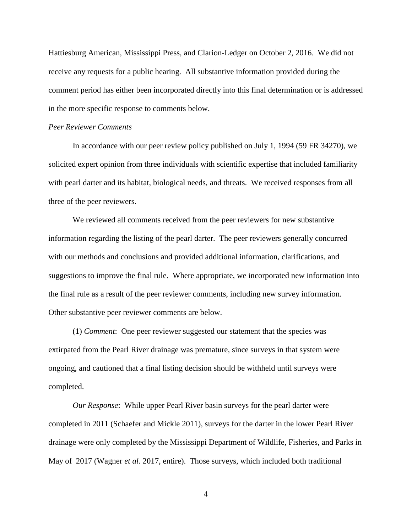Hattiesburg American, Mississippi Press, and Clarion-Ledger on October 2, 2016. We did not receive any requests for a public hearing. All substantive information provided during the comment period has either been incorporated directly into this final determination or is addressed in the more specific response to comments below.

### *Peer Reviewer Comments*

In accordance with our peer review policy published on July 1, 1994 (59 FR 34270), we solicited expert opinion from three individuals with scientific expertise that included familiarity with pearl darter and its habitat, biological needs, and threats. We received responses from all three of the peer reviewers.

We reviewed all comments received from the peer reviewers for new substantive information regarding the listing of the pearl darter. The peer reviewers generally concurred with our methods and conclusions and provided additional information, clarifications, and suggestions to improve the final rule. Where appropriate, we incorporated new information into the final rule as a result of the peer reviewer comments, including new survey information. Other substantive peer reviewer comments are below.

(1) *Comment*: One peer reviewer suggested our statement that the species was extirpated from the Pearl River drainage was premature, since surveys in that system were ongoing, and cautioned that a final listing decision should be withheld until surveys were completed.

*Our Response*: While upper Pearl River basin surveys for the pearl darter were completed in 2011 (Schaefer and Mickle 2011), surveys for the darter in the lower Pearl River drainage were only completed by the Mississippi Department of Wildlife, Fisheries, and Parks in May of 2017 (Wagner *et al.* 2017, entire). Those surveys, which included both traditional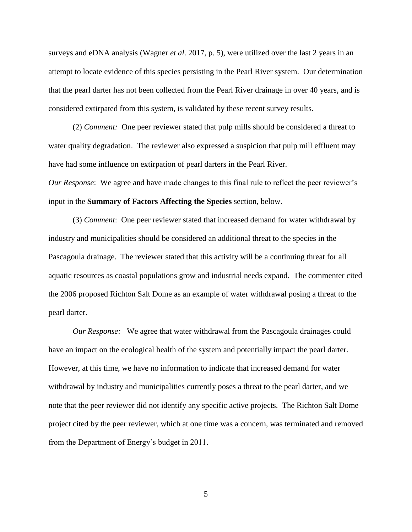surveys and eDNA analysis (Wagner *et al*. 2017, p. 5), were utilized over the last 2 years in an attempt to locate evidence of this species persisting in the Pearl River system. Our determination that the pearl darter has not been collected from the Pearl River drainage in over 40 years, and is considered extirpated from this system, is validated by these recent survey results.

(2) *Comment:* One peer reviewer stated that pulp mills should be considered a threat to water quality degradation. The reviewer also expressed a suspicion that pulp mill effluent may have had some influence on extirpation of pearl darters in the Pearl River.

*Our Response*: We agree and have made changes to this final rule to reflect the peer reviewer's input in the **Summary of Factors Affecting the Species** section, below.

(3) *Comment*: One peer reviewer stated that increased demand for water withdrawal by industry and municipalities should be considered an additional threat to the species in the Pascagoula drainage. The reviewer stated that this activity will be a continuing threat for all aquatic resources as coastal populations grow and industrial needs expand. The commenter cited the 2006 proposed Richton Salt Dome as an example of water withdrawal posing a threat to the pearl darter.

*Our Response:* We agree that water withdrawal from the Pascagoula drainages could have an impact on the ecological health of the system and potentially impact the pearl darter. However, at this time, we have no information to indicate that increased demand for water withdrawal by industry and municipalities currently poses a threat to the pearl darter, and we note that the peer reviewer did not identify any specific active projects. The Richton Salt Dome project cited by the peer reviewer, which at one time was a concern, was terminated and removed from the Department of Energy's budget in 2011.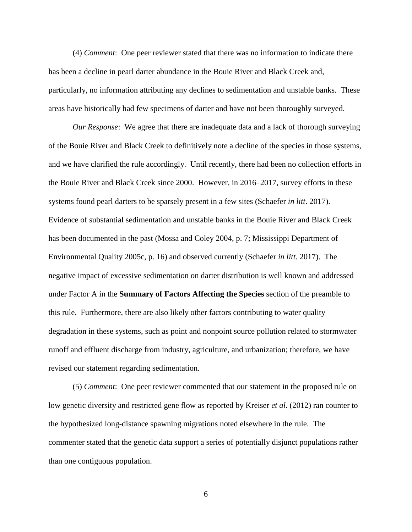(4) *Comment*: One peer reviewer stated that there was no information to indicate there has been a decline in pearl darter abundance in the Bouie River and Black Creek and, particularly, no information attributing any declines to sedimentation and unstable banks. These areas have historically had few specimens of darter and have not been thoroughly surveyed.

*Our Response*: We agree that there are inadequate data and a lack of thorough surveying of the Bouie River and Black Creek to definitively note a decline of the species in those systems, and we have clarified the rule accordingly. Until recently, there had been no collection efforts in the Bouie River and Black Creek since 2000. However, in 2016–2017, survey efforts in these systems found pearl darters to be sparsely present in a few sites (Schaefer *in litt*. 2017). Evidence of substantial sedimentation and unstable banks in the Bouie River and Black Creek has been documented in the past (Mossa and Coley 2004, p. 7; Mississippi Department of Environmental Quality 2005c, p. 16) and observed currently (Schaefer *in litt*. 2017). The negative impact of excessive sedimentation on darter distribution is well known and addressed under Factor A in the **Summary of Factors Affecting the Species** section of the preamble to this rule. Furthermore, there are also likely other factors contributing to water quality degradation in these systems, such as point and nonpoint source pollution related to stormwater runoff and effluent discharge from industry, agriculture, and urbanization; therefore, we have revised our statement regarding sedimentation.

(5) *Comment*: One peer reviewer commented that our statement in the proposed rule on low genetic diversity and restricted gene flow as reported by Kreiser *et al*. (2012) ran counter to the hypothesized long-distance spawning migrations noted elsewhere in the rule. The commenter stated that the genetic data support a series of potentially disjunct populations rather than one contiguous population.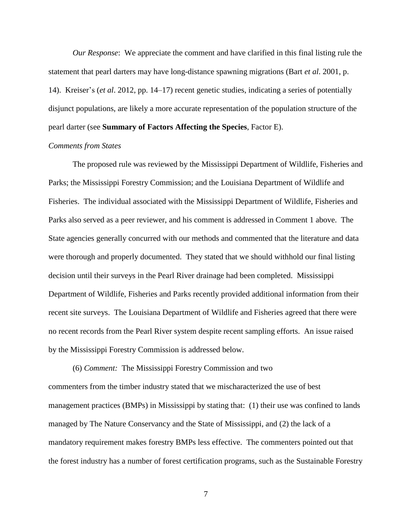*Our Response*: We appreciate the comment and have clarified in this final listing rule the statement that pearl darters may have long-distance spawning migrations (Bart *et al*. 2001, p. 14). Kreiser's (*et al*. 2012, pp. 14–17) recent genetic studies, indicating a series of potentially disjunct populations, are likely a more accurate representation of the population structure of the pearl darter (see **Summary of Factors Affecting the Species**, Factor E).

## *Comments from States*

The proposed rule was reviewed by the Mississippi Department of Wildlife, Fisheries and Parks; the Mississippi Forestry Commission; and the Louisiana Department of Wildlife and Fisheries. The individual associated with the Mississippi Department of Wildlife, Fisheries and Parks also served as a peer reviewer, and his comment is addressed in Comment 1 above. The State agencies generally concurred with our methods and commented that the literature and data were thorough and properly documented. They stated that we should withhold our final listing decision until their surveys in the Pearl River drainage had been completed. Mississippi Department of Wildlife, Fisheries and Parks recently provided additional information from their recent site surveys. The Louisiana Department of Wildlife and Fisheries agreed that there were no recent records from the Pearl River system despite recent sampling efforts. An issue raised by the Mississippi Forestry Commission is addressed below.

(6) *Comment:* The Mississippi Forestry Commission and two commenters from the timber industry stated that we mischaracterized the use of best management practices (BMPs) in Mississippi by stating that: (1) their use was confined to lands managed by The Nature Conservancy and the State of Mississippi, and (2) the lack of a mandatory requirement makes forestry BMPs less effective. The commenters pointed out that the forest industry has a number of forest certification programs, such as the Sustainable Forestry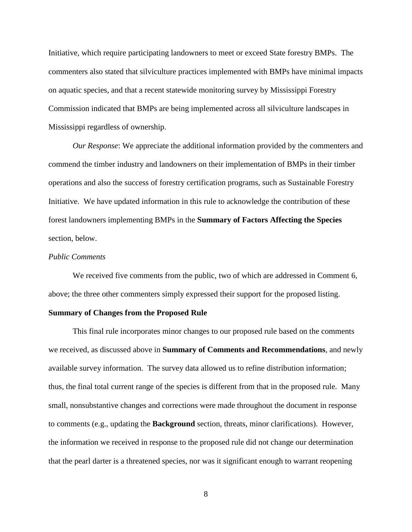Initiative, which require participating landowners to meet or exceed State forestry BMPs. The commenters also stated that silviculture practices implemented with BMPs have minimal impacts on aquatic species, and that a recent statewide monitoring survey by Mississippi Forestry Commission indicated that BMPs are being implemented across all silviculture landscapes in Mississippi regardless of ownership.

*Our Response*: We appreciate the additional information provided by the commenters and commend the timber industry and landowners on their implementation of BMPs in their timber operations and also the success of forestry certification programs, such as Sustainable Forestry Initiative. We have updated information in this rule to acknowledge the contribution of these forest landowners implementing BMPs in the **Summary of Factors Affecting the Species** section, below.

### *Public Comments*

We received five comments from the public, two of which are addressed in Comment 6, above; the three other commenters simply expressed their support for the proposed listing.

#### **Summary of Changes from the Proposed Rule**

This final rule incorporates minor changes to our proposed rule based on the comments we received, as discussed above in **Summary of Comments and Recommendations**, and newly available survey information. The survey data allowed us to refine distribution information; thus, the final total current range of the species is different from that in the proposed rule. Many small, nonsubstantive changes and corrections were made throughout the document in response to comments (e.g., updating the **Background** section, threats, minor clarifications). However, the information we received in response to the proposed rule did not change our determination that the pearl darter is a threatened species, nor was it significant enough to warrant reopening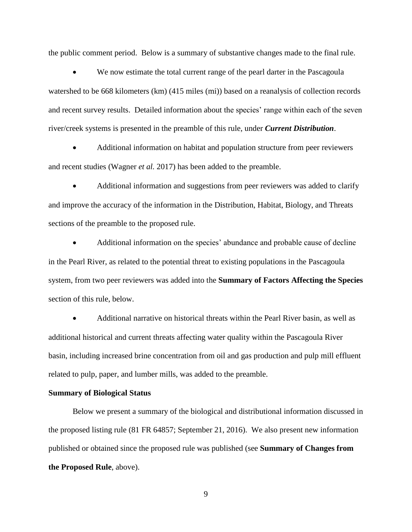the public comment period. Below is a summary of substantive changes made to the final rule.

 We now estimate the total current range of the pearl darter in the Pascagoula watershed to be 668 kilometers (km) (415 miles (mi)) based on a reanalysis of collection records and recent survey results. Detailed information about the species' range within each of the seven river/creek systems is presented in the preamble of this rule, under *Current Distribution*.

 Additional information on habitat and population structure from peer reviewers and recent studies (Wagner *et al.* 2017) has been added to the preamble.

 Additional information and suggestions from peer reviewers was added to clarify and improve the accuracy of the information in the Distribution, Habitat, Biology, and Threats sections of the preamble to the proposed rule.

 Additional information on the species' abundance and probable cause of decline in the Pearl River, as related to the potential threat to existing populations in the Pascagoula system, from two peer reviewers was added into the **Summary of Factors Affecting the Species** section of this rule, below.

 Additional narrative on historical threats within the Pearl River basin, as well as additional historical and current threats affecting water quality within the Pascagoula River basin, including increased brine concentration from oil and gas production and pulp mill effluent related to pulp, paper, and lumber mills, was added to the preamble.

### **Summary of Biological Status**

Below we present a summary of the biological and distributional information discussed in the proposed listing rule (81 FR 64857; September 21, 2016). We also present new information published or obtained since the proposed rule was published (see **Summary of Changes from the Proposed Rule**, above).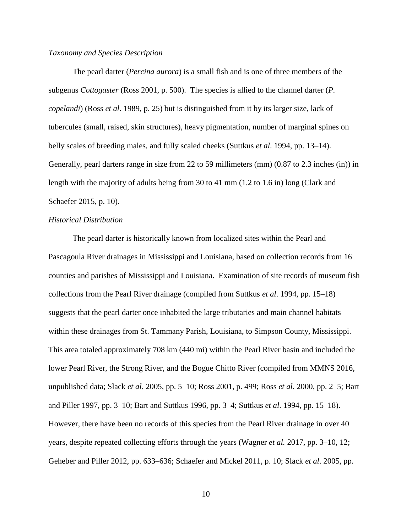## *Taxonomy and Species Description*

The pearl darter (*Percina aurora*) is a small fish and is one of three members of the subgenus *Cottogaster* (Ross 2001, p. 500). The species is allied to the channel darter (*P. copelandi*) (Ross *et al*. 1989, p. 25) but is distinguished from it by its larger size, lack of tubercules (small, raised, skin structures), heavy pigmentation, number of marginal spines on belly scales of breeding males, and fully scaled cheeks (Suttkus *et al*. 1994, pp. 13–14). Generally, pearl darters range in size from 22 to 59 millimeters (mm) (0.87 to 2.3 inches (in)) in length with the majority of adults being from 30 to 41 mm (1.2 to 1.6 in) long (Clark and Schaefer 2015, p. 10).

## *Historical Distribution*

The pearl darter is historically known from localized sites within the Pearl and Pascagoula River drainages in Mississippi and Louisiana, based on collection records from 16 counties and parishes of Mississippi and Louisiana. Examination of site records of museum fish collections from the Pearl River drainage (compiled from Suttkus *et al*. 1994, pp. 15–18) suggests that the pearl darter once inhabited the large tributaries and main channel habitats within these drainages from St. Tammany Parish, Louisiana, to Simpson County, Mississippi. This area totaled approximately 708 km (440 mi) within the Pearl River basin and included the lower Pearl River, the Strong River, and the Bogue Chitto River (compiled from MMNS 2016, unpublished data; Slack *et al*. 2005, pp. 5–10; Ross 2001, p. 499; Ross *et al.* 2000, pp. 2–5; Bart and Piller 1997, pp. 3–10; Bart and Suttkus 1996, pp. 3–4; Suttkus *et al*. 1994, pp. 15–18). However, there have been no records of this species from the Pearl River drainage in over 40 years, despite repeated collecting efforts through the years (Wagner *et al.* 2017, pp. 3–10, 12; Geheber and Piller 2012, pp. 633–636; Schaefer and Mickel 2011, p. 10; Slack *et al*. 2005, pp.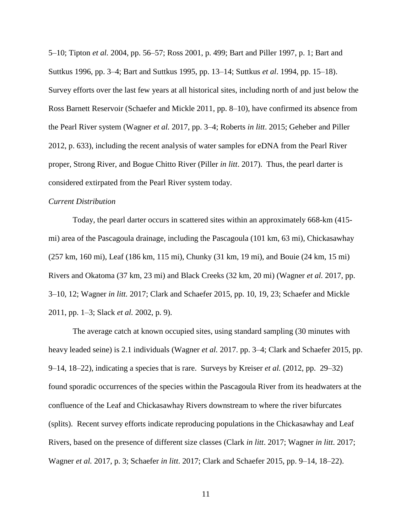5–10; Tipton *et al.* 2004, pp. 56–57; Ross 2001, p. 499; Bart and Piller 1997, p. 1; Bart and Suttkus 1996, pp. 3–4; Bart and Suttkus 1995, pp. 13–14; Suttkus *et al*. 1994, pp. 15–18). Survey efforts over the last few years at all historical sites, including north of and just below the Ross Barnett Reservoir (Schaefer and Mickle 2011, pp. 8–10), have confirmed its absence from the Pearl River system (Wagner *et al.* 2017, pp. 3–4; Roberts *in litt*. 2015; Geheber and Piller 2012, p. 633), including the recent analysis of water samples for eDNA from the Pearl River proper, Strong River, and Bogue Chitto River (Piller *in litt*. 2017). Thus, the pearl darter is considered extirpated from the Pearl River system today.

### *Current Distribution*

Today, the pearl darter occurs in scattered sites within an approximately 668-km (415 mi) area of the Pascagoula drainage, including the Pascagoula (101 km, 63 mi), Chickasawhay (257 km, 160 mi), Leaf (186 km, 115 mi), Chunky (31 km, 19 mi), and Bouie (24 km, 15 mi) Rivers and Okatoma (37 km, 23 mi) and Black Creeks (32 km, 20 mi) (Wagner *et al.* 2017, pp. 3–10, 12; Wagner *in litt.* 2017; Clark and Schaefer 2015, pp. 10, 19, 23; Schaefer and Mickle 2011, pp. 1–3; Slack *et al.* 2002, p. 9).

The average catch at known occupied sites, using standard sampling (30 minutes with heavy leaded seine) is 2.1 individuals (Wagner *et al.* 2017. pp. 3–4; Clark and Schaefer 2015, pp. 9–14, 18–22), indicating a species that is rare. Surveys by Kreiser *et al.* (2012, pp. 29–32) found sporadic occurrences of the species within the Pascagoula River from its headwaters at the confluence of the Leaf and Chickasawhay Rivers downstream to where the river bifurcates (splits). Recent survey efforts indicate reproducing populations in the Chickasawhay and Leaf Rivers, based on the presence of different size classes (Clark *in litt*. 2017; Wagner *in litt*. 2017; Wagner *et al.* 2017, p. 3; Schaefer *in litt*. 2017; Clark and Schaefer 2015, pp. 9–14, 18–22).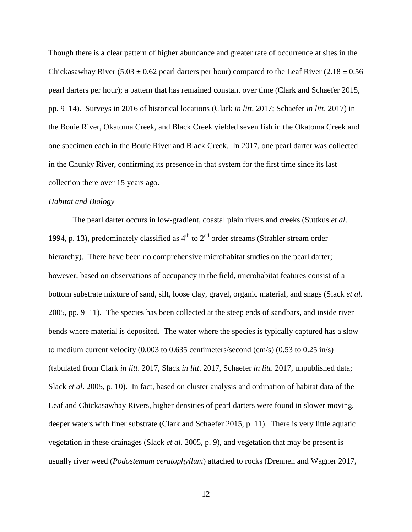Though there is a clear pattern of higher abundance and greater rate of occurrence at sites in the Chickasawhay River (5.03  $\pm$  0.62 pearl darters per hour) compared to the Leaf River (2.18  $\pm$  0.56 pearl darters per hour); a pattern that has remained constant over time (Clark and Schaefer 2015, pp. 9–14). Surveys in 2016 of historical locations (Clark *in litt*. 2017; Schaefer *in litt*. 2017) in the Bouie River, Okatoma Creek, and Black Creek yielded seven fish in the Okatoma Creek and one specimen each in the Bouie River and Black Creek. In 2017, one pearl darter was collected in the Chunky River, confirming its presence in that system for the first time since its last collection there over 15 years ago.

### *Habitat and Biology*

The pearl darter occurs in low-gradient, coastal plain rivers and creeks (Suttkus *et al*. 1994, p. 13), predominately classified as  $4<sup>th</sup>$  to  $2<sup>nd</sup>$  order streams (Strahler stream order hierarchy). There have been no comprehensive microhabitat studies on the pearl darter; however, based on observations of occupancy in the field, microhabitat features consist of a bottom substrate mixture of sand, silt, loose clay, gravel, organic material, and snags (Slack *et al*. 2005, pp. 9–11). The species has been collected at the steep ends of sandbars, and inside river bends where material is deposited. The water where the species is typically captured has a slow to medium current velocity  $(0.003 \text{ to } 0.635 \text{ centimeters/second (cm/s) } (0.53 \text{ to } 0.25 \text{ in/s}))$ (tabulated from Clark *in litt*. 2017, Slack *in litt*. 2017, Schaefer *in litt*. 2017, unpublished data; Slack *et al*. 2005, p. 10). In fact, based on cluster analysis and ordination of habitat data of the Leaf and Chickasawhay Rivers, higher densities of pearl darters were found in slower moving, deeper waters with finer substrate (Clark and Schaefer 2015, p. 11). There is very little aquatic vegetation in these drainages (Slack *et al*. 2005, p. 9), and vegetation that may be present is usually river weed (*Podostemum ceratophyllum*) attached to rocks (Drennen and Wagner 2017,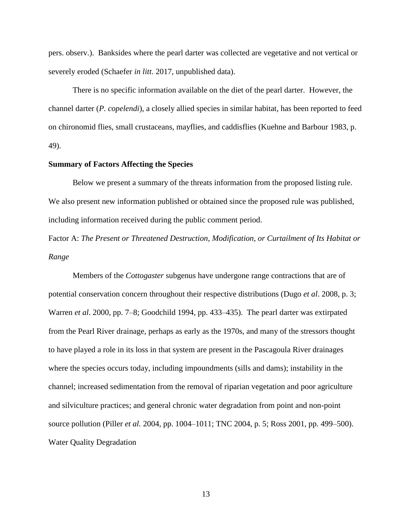pers. observ.). Banksides where the pearl darter was collected are vegetative and not vertical or severely eroded (Schaefer *in litt*. 2017, unpublished data).

There is no specific information available on the diet of the pearl darter. However, the channel darter (*P. copelendi*), a closely allied species in similar habitat, has been reported to feed on chironomid flies, small crustaceans, mayflies, and caddisflies (Kuehne and Barbour 1983, p. 49).

### **Summary of Factors Affecting the Species**

Below we present a summary of the threats information from the proposed listing rule. We also present new information published or obtained since the proposed rule was published, including information received during the public comment period.

Factor A: *The Present or Threatened Destruction, Modification, or Curtailment of Its Habitat or Range*

Members of the *Cottogaster* subgenus have undergone range contractions that are of potential conservation concern throughout their respective distributions (Dugo *et al*. 2008, p. 3; Warren *et al*. 2000, pp. 7–8; Goodchild 1994, pp. 433–435). The pearl darter was extirpated from the Pearl River drainage, perhaps as early as the 1970s, and many of the stressors thought to have played a role in its loss in that system are present in the Pascagoula River drainages where the species occurs today, including impoundments (sills and dams); instability in the channel; increased sedimentation from the removal of riparian vegetation and poor agriculture and silviculture practices; and general chronic water degradation from point and non-point source pollution (Piller *et al.* 2004, pp. 1004–1011; TNC 2004, p. 5; Ross 2001, pp. 499–500). Water Quality Degradation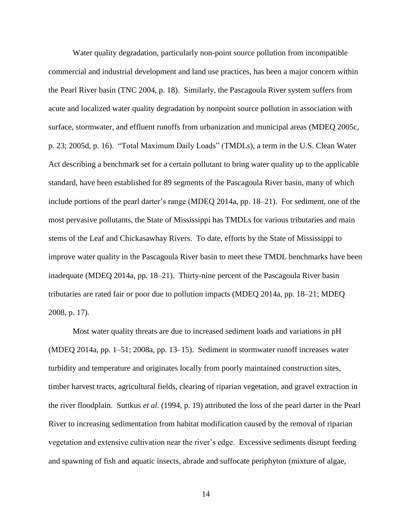Water quality degradation, particularly non-point source pollution from incompatible commercial and industrial development and land use practices, has been a major concern within the Pearl River basin (TNC 2004, p. 18). Similarly, the Pascagoula River system suffers from acute and localized water quality degradation by nonpoint source pollution in association with surface, stormwater, and effluent runoffs from urbanization and municipal areas (MDEQ 2005c, p. 23; 2005d, p. 16). "Total Maximum Daily Loads" (TMDLs), a term in the U.S. Clean Water Act describing a benchmark set for a certain pollutant to bring water quality up to the applicable standard, have been established for 89 segments of the Pascagoula River basin, many of which include portions of the pearl darter's range (MDEQ 2014a, pp. 18–21). For sediment, one of the most pervasive pollutants, the State of Mississippi has TMDLs for various tributaries and main stems of the Leaf and Chickasawhay Rivers. To date, efforts by the State of Mississippi to improve water quality in the Pascagoula River basin to meet these TMDL benchmarks have been inadequate (MDEQ 2014a, pp. 18–21). Thirty-nine percent of the Pascagoula River basin tributaries are rated fair or poor due to pollution impacts (MDEQ 2014a, pp. 18–21; MDEQ 2008, p. 17).

Most water quality threats are due to increased sediment loads and variations in pH (MDEQ 2014a, pp. 1–51; 2008a, pp. 13–15). Sediment in stormwater runoff increases water turbidity and temperature and originates locally from poorly maintained construction sites, timber harvest tracts, agricultural fields, clearing of riparian vegetation, and gravel extraction in the river floodplain. Suttkus *et al*. (1994, p. 19) attributed the loss of the pearl darter in the Pearl River to increasing sedimentation from habitat modification caused by the removal of riparian vegetation and extensive cultivation near the river's edge. Excessive sediments disrupt feeding and spawning of fish and aquatic insects, abrade and suffocate periphyton (mixture of algae,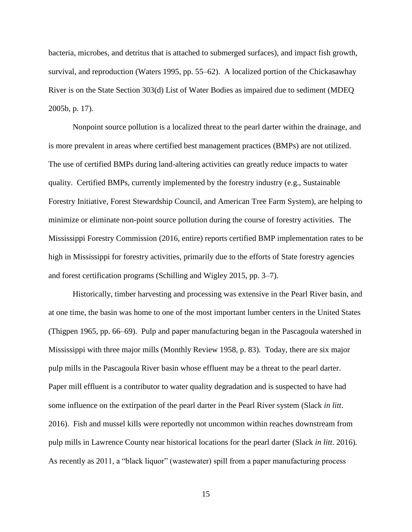bacteria, microbes, and detritus that is attached to submerged surfaces), and impact fish growth, survival, and reproduction (Waters 1995, pp. 55–62). A localized portion of the Chickasawhay River is on the State Section 303(d) List of Water Bodies as impaired due to sediment (MDEQ 2005b, p. 17).

Nonpoint source pollution is a localized threat to the pearl darter within the drainage, and is more prevalent in areas where certified best management practices (BMPs) are not utilized. The use of certified BMPs during land-altering activities can greatly reduce impacts to water quality. Certified BMPs, currently implemented by the forestry industry (e.g., Sustainable Forestry Initiative, Forest Stewardship Council, and American Tree Farm System), are helping to minimize or eliminate non-point source pollution during the course of forestry activities. The Mississippi Forestry Commission (2016, entire) reports certified BMP implementation rates to be high in Mississippi for forestry activities, primarily due to the efforts of State forestry agencies and forest certification programs (Schilling and Wigley 2015, pp. 3–7).

Historically, timber harvesting and processing was extensive in the Pearl River basin, and at one time, the basin was home to one of the most important lumber centers in the United States (Thigpen 1965, pp. 66–69). Pulp and paper manufacturing began in the Pascagoula watershed in Mississippi with three major mills (Monthly Review 1958, p. 83). Today, there are six major pulp mills in the Pascagoula River basin whose effluent may be a threat to the pearl darter. Paper mill effluent is a contributor to water quality degradation and is suspected to have had some influence on the extirpation of the pearl darter in the Pearl River system (Slack *in litt*. 2016). Fish and mussel kills were reportedly not uncommon within reaches downstream from pulp mills in Lawrence County near historical locations for the pearl darter (Slack *in litt*. 2016). As recently as 2011, a "black liquor" (wastewater) spill from a paper manufacturing process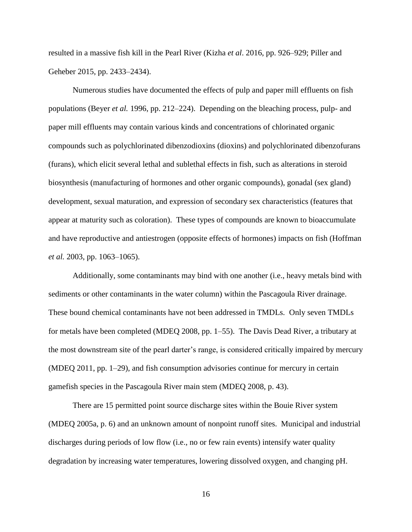resulted in a massive fish kill in the Pearl River (Kizha *et al*. 2016, pp. 926–929; Piller and Geheber 2015, pp. 2433–2434).

Numerous studies have documented the effects of pulp and paper mill effluents on fish populations (Beyer *et al.* 1996, pp. 212–224). Depending on the bleaching process, pulp- and paper mill effluents may contain various kinds and concentrations of chlorinated organic compounds such as polychlorinated dibenzodioxins (dioxins) and polychlorinated dibenzofurans (furans), which elicit several lethal and sublethal effects in fish, such as alterations in steroid biosynthesis (manufacturing of hormones and other organic compounds), gonadal (sex gland) development, sexual maturation, and expression of secondary sex characteristics (features that appear at maturity such as coloration). These types of compounds are known to bioaccumulate and have reproductive and antiestrogen (opposite effects of hormones) impacts on fish (Hoffman *et al.* 2003, pp. 1063–1065).

Additionally, some contaminants may bind with one another (i.e., heavy metals bind with sediments or other contaminants in the water column) within the Pascagoula River drainage. These bound chemical contaminants have not been addressed in TMDLs. Only seven TMDLs for metals have been completed (MDEQ 2008, pp. 1–55). The Davis Dead River, a tributary at the most downstream site of the pearl darter's range, is considered critically impaired by mercury (MDEQ 2011, pp. 1–29), and fish consumption advisories continue for mercury in certain gamefish species in the Pascagoula River main stem (MDEQ 2008, p. 43).

There are 15 permitted point source discharge sites within the Bouie River system (MDEQ 2005a, p. 6) and an unknown amount of nonpoint runoff sites. Municipal and industrial discharges during periods of low flow (i.e., no or few rain events) intensify water quality degradation by increasing water temperatures, lowering dissolved oxygen, and changing pH.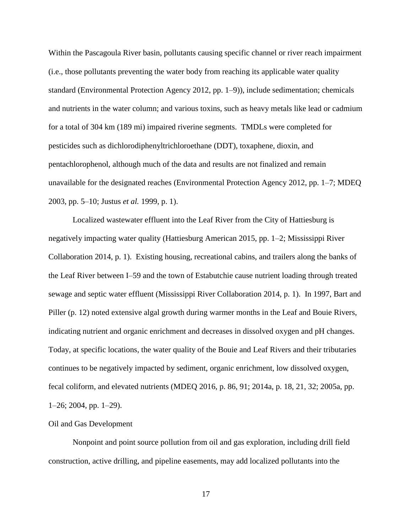Within the Pascagoula River basin, pollutants causing specific channel or river reach impairment (i.e., those pollutants preventing the water body from reaching its applicable water quality standard (Environmental Protection Agency 2012, pp. 1–9)), include sedimentation; chemicals and nutrients in the water column; and various toxins, such as heavy metals like lead or cadmium for a total of 304 km (189 mi) impaired riverine segments. TMDLs were completed for pesticides such as dichlorodiphenyltrichloroethane (DDT), toxaphene, dioxin, and pentachlorophenol, although much of the data and results are not finalized and remain unavailable for the designated reaches (Environmental Protection Agency 2012, pp. 1–7; MDEQ 2003, pp. 5–10; Justus *et al.* 1999, p. 1).

Localized wastewater effluent into the Leaf River from the City of Hattiesburg is negatively impacting water quality (Hattiesburg American 2015, pp. 1–2; Mississippi River Collaboration 2014, p. 1). Existing housing, recreational cabins, and trailers along the banks of the Leaf River between I–59 and the town of Estabutchie cause nutrient loading through treated sewage and septic water effluent (Mississippi River Collaboration 2014, p. 1). In 1997, Bart and Piller (p. 12) noted extensive algal growth during warmer months in the Leaf and Bouie Rivers, indicating nutrient and organic enrichment and decreases in dissolved oxygen and pH changes. Today, at specific locations, the water quality of the Bouie and Leaf Rivers and their tributaries continues to be negatively impacted by sediment, organic enrichment, low dissolved oxygen, fecal coliform, and elevated nutrients (MDEQ 2016, p. 86, 91; 2014a, p. 18, 21, 32; 2005a, pp. 1–26; 2004, pp. 1–29).

### Oil and Gas Development

Nonpoint and point source pollution from oil and gas exploration, including drill field construction, active drilling, and pipeline easements, may add localized pollutants into the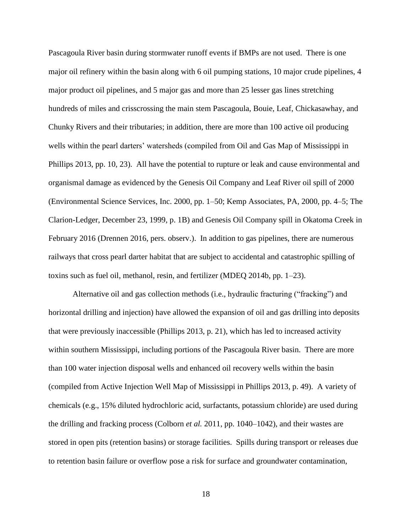Pascagoula River basin during stormwater runoff events if BMPs are not used. There is one major oil refinery within the basin along with 6 oil pumping stations, 10 major crude pipelines, 4 major product oil pipelines, and 5 major gas and more than 25 lesser gas lines stretching hundreds of miles and crisscrossing the main stem Pascagoula, Bouie, Leaf, Chickasawhay, and Chunky Rivers and their tributaries; in addition, there are more than 100 active oil producing wells within the pearl darters' watersheds (compiled from Oil and Gas Map of Mississippi in Phillips 2013, pp. 10, 23). All have the potential to rupture or leak and cause environmental and organismal damage as evidenced by the Genesis Oil Company and Leaf River oil spill of 2000 (Environmental Science Services, Inc. 2000, pp. 1–50; Kemp Associates, PA, 2000, pp. 4–5; The Clarion-Ledger, December 23, 1999, p. 1B) and Genesis Oil Company spill in Okatoma Creek in February 2016 (Drennen 2016, pers. observ.). In addition to gas pipelines, there are numerous railways that cross pearl darter habitat that are subject to accidental and catastrophic spilling of toxins such as fuel oil, methanol, resin, and fertilizer (MDEQ 2014b, pp. 1–23).

Alternative oil and gas collection methods (i.e., hydraulic fracturing ("fracking") and horizontal drilling and injection) have allowed the expansion of oil and gas drilling into deposits that were previously inaccessible (Phillips 2013, p. 21), which has led to increased activity within southern Mississippi, including portions of the Pascagoula River basin. There are more than 100 water injection disposal wells and enhanced oil recovery wells within the basin (compiled from Active Injection Well Map of Mississippi in Phillips 2013, p. 49). A variety of chemicals (e.g., 15% diluted hydrochloric acid, surfactants, potassium chloride) are used during the drilling and fracking process (Colborn *et al.* 2011, pp. 1040–1042), and their wastes are stored in open pits (retention basins) or storage facilities. Spills during transport or releases due to retention basin failure or overflow pose a risk for surface and groundwater contamination,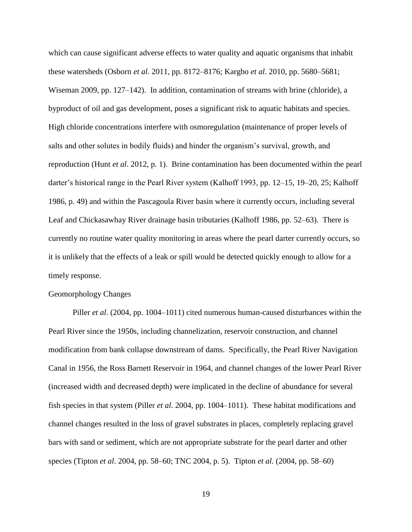which can cause significant adverse effects to water quality and aquatic organisms that inhabit these watersheds (Osborn *et al.* 2011, pp. 8172–8176; Kargbo *et al.* 2010, pp. 5680–5681; Wiseman 2009, pp. 127–142). In addition, contamination of streams with brine (chloride), a byproduct of oil and gas development, poses a significant risk to aquatic habitats and species. High chloride concentrations interfere with osmoregulation (maintenance of proper levels of salts and other solutes in bodily fluids) and hinder the organism's survival, growth, and reproduction (Hunt *et al*. 2012, p. 1). Brine contamination has been documented within the pearl darter's historical range in the Pearl River system (Kalhoff 1993, pp. 12–15, 19–20, 25; Kalhoff 1986, p. 49) and within the Pascagoula River basin where it currently occurs, including several Leaf and Chickasawhay River drainage basin tributaries (Kalhoff 1986, pp. 52–63). There is currently no routine water quality monitoring in areas where the pearl darter currently occurs, so it is unlikely that the effects of a leak or spill would be detected quickly enough to allow for a timely response.

## Geomorphology Changes

Piller *et al*. (2004, pp. 1004–1011) cited numerous human-caused disturbances within the Pearl River since the 1950s, including channelization, reservoir construction, and channel modification from bank collapse downstream of dams. Specifically, the Pearl River Navigation Canal in 1956, the Ross Barnett Reservoir in 1964, and channel changes of the lower Pearl River (increased width and decreased depth) were implicated in the decline of abundance for several fish species in that system (Piller *et al*. 2004, pp. 1004–1011). These habitat modifications and channel changes resulted in the loss of gravel substrates in places, completely replacing gravel bars with sand or sediment, which are not appropriate substrate for the pearl darter and other species (Tipton *et al*. 2004, pp. 58–60; TNC 2004, p. 5). Tipton *et al.* (2004, pp. 58–60)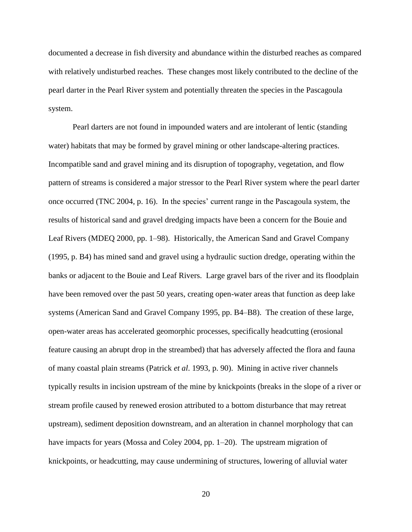documented a decrease in fish diversity and abundance within the disturbed reaches as compared with relatively undisturbed reaches. These changes most likely contributed to the decline of the pearl darter in the Pearl River system and potentially threaten the species in the Pascagoula system.

Pearl darters are not found in impounded waters and are intolerant of lentic (standing water) habitats that may be formed by gravel mining or other landscape-altering practices. Incompatible sand and gravel mining and its disruption of topography, vegetation, and flow pattern of streams is considered a major stressor to the Pearl River system where the pearl darter once occurred (TNC 2004, p. 16). In the species' current range in the Pascagoula system, the results of historical sand and gravel dredging impacts have been a concern for the Bouie and Leaf Rivers (MDEQ 2000, pp. 1–98). Historically, the American Sand and Gravel Company (1995, p. B4) has mined sand and gravel using a hydraulic suction dredge, operating within the banks or adjacent to the Bouie and Leaf Rivers. Large gravel bars of the river and its floodplain have been removed over the past 50 years, creating open-water areas that function as deep lake systems (American Sand and Gravel Company 1995, pp. B4–B8). The creation of these large, open-water areas has accelerated geomorphic processes, specifically headcutting (erosional feature causing an abrupt drop in the streambed) that has adversely affected the flora and fauna of many coastal plain streams (Patrick *et al*. 1993, p. 90). Mining in active river channels typically results in incision upstream of the mine by knickpoints (breaks in the slope of a river or stream profile caused by renewed erosion attributed to a bottom disturbance that may retreat upstream), sediment deposition downstream, and an alteration in channel morphology that can have impacts for years (Mossa and Coley 2004, pp. 1–20). The upstream migration of knickpoints, or headcutting, may cause undermining of structures, lowering of alluvial water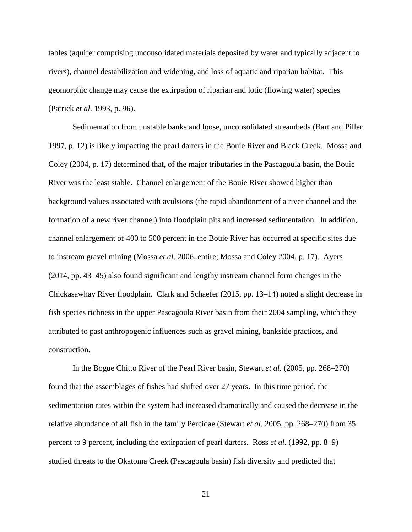tables (aquifer comprising unconsolidated materials deposited by water and typically adjacent to rivers), channel destabilization and widening, and loss of aquatic and riparian habitat. This geomorphic change may cause the extirpation of riparian and lotic (flowing water) species (Patrick *et al*. 1993, p. 96).

Sedimentation from unstable banks and loose, unconsolidated streambeds (Bart and Piller 1997, p. 12) is likely impacting the pearl darters in the Bouie River and Black Creek. Mossa and Coley (2004, p. 17) determined that, of the major tributaries in the Pascagoula basin, the Bouie River was the least stable. Channel enlargement of the Bouie River showed higher than background values associated with avulsions (the rapid abandonment of a river channel and the formation of a new river channel) into floodplain pits and increased sedimentation. In addition, channel enlargement of 400 to 500 percent in the Bouie River has occurred at specific sites due to instream gravel mining (Mossa *et al*. 2006, entire; Mossa and Coley 2004, p. 17). Ayers (2014, pp. 43–45) also found significant and lengthy instream channel form changes in the Chickasawhay River floodplain. Clark and Schaefer (2015, pp. 13–14) noted a slight decrease in fish species richness in the upper Pascagoula River basin from their 2004 sampling, which they attributed to past anthropogenic influences such as gravel mining, bankside practices, and construction.

In the Bogue Chitto River of the Pearl River basin, Stewart *et al.* (2005, pp. 268–270) found that the assemblages of fishes had shifted over 27 years. In this time period, the sedimentation rates within the system had increased dramatically and caused the decrease in the relative abundance of all fish in the family Percidae (Stewart *et al.* 2005, pp. 268–270) from 35 percent to 9 percent, including the extirpation of pearl darters. Ross *et al.* (1992, pp. 8–9) studied threats to the Okatoma Creek (Pascagoula basin) fish diversity and predicted that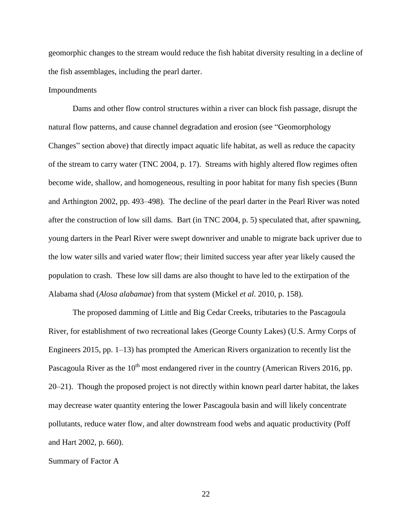geomorphic changes to the stream would reduce the fish habitat diversity resulting in a decline of the fish assemblages, including the pearl darter.

### Impoundments

Dams and other flow control structures within a river can block fish passage, disrupt the natural flow patterns, and cause channel degradation and erosion (see "Geomorphology Changes" section above) that directly impact aquatic life habitat, as well as reduce the capacity of the stream to carry water (TNC 2004, p. 17). Streams with highly altered flow regimes often become wide, shallow, and homogeneous, resulting in poor habitat for many fish species (Bunn and Arthington 2002, pp. 493–498). The decline of the pearl darter in the Pearl River was noted after the construction of low sill dams. Bart (in TNC 2004, p. 5) speculated that, after spawning, young darters in the Pearl River were swept downriver and unable to migrate back upriver due to the low water sills and varied water flow; their limited success year after year likely caused the population to crash. These low sill dams are also thought to have led to the extirpation of the Alabama shad (*Alosa alabamae*) from that system (Mickel *et al.* 2010, p. 158).

The proposed damming of Little and Big Cedar Creeks, tributaries to the Pascagoula River, for establishment of two recreational lakes (George County Lakes) (U.S. Army Corps of Engineers 2015, pp. 1–13) has prompted the American Rivers organization to recently list the Pascagoula River as the  $10^{th}$  most endangered river in the country (American Rivers 2016, pp. 20–21). Though the proposed project is not directly within known pearl darter habitat, the lakes may decrease water quantity entering the lower Pascagoula basin and will likely concentrate pollutants, reduce water flow, and alter downstream food webs and aquatic productivity (Poff and Hart 2002, p. 660).

#### Summary of Factor A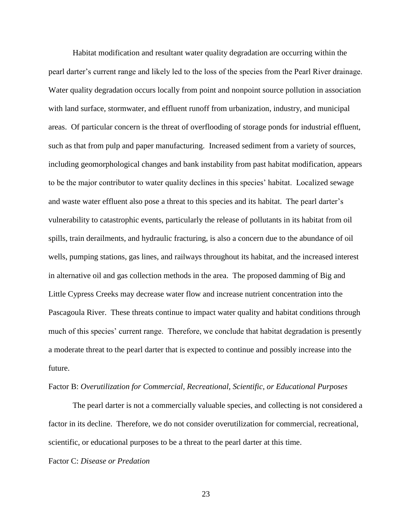Habitat modification and resultant water quality degradation are occurring within the pearl darter's current range and likely led to the loss of the species from the Pearl River drainage. Water quality degradation occurs locally from point and nonpoint source pollution in association with land surface, stormwater, and effluent runoff from urbanization, industry, and municipal areas. Of particular concern is the threat of overflooding of storage ponds for industrial effluent, such as that from pulp and paper manufacturing. Increased sediment from a variety of sources, including geomorphological changes and bank instability from past habitat modification, appears to be the major contributor to water quality declines in this species' habitat. Localized sewage and waste water effluent also pose a threat to this species and its habitat. The pearl darter's vulnerability to catastrophic events, particularly the release of pollutants in its habitat from oil spills, train derailments, and hydraulic fracturing, is also a concern due to the abundance of oil wells, pumping stations, gas lines, and railways throughout its habitat, and the increased interest in alternative oil and gas collection methods in the area. The proposed damming of Big and Little Cypress Creeks may decrease water flow and increase nutrient concentration into the Pascagoula River. These threats continue to impact water quality and habitat conditions through much of this species' current range. Therefore, we conclude that habitat degradation is presently a moderate threat to the pearl darter that is expected to continue and possibly increase into the future.

### Factor B: *Overutilization for Commercial, Recreational, Scientific, or Educational Purposes*

The pearl darter is not a commercially valuable species, and collecting is not considered a factor in its decline. Therefore, we do not consider overutilization for commercial, recreational, scientific, or educational purposes to be a threat to the pearl darter at this time.

## Factor C: *Disease or Predation*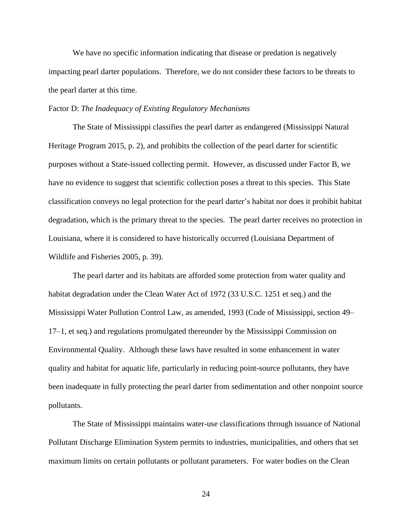We have no specific information indicating that disease or predation is negatively impacting pearl darter populations. Therefore, we do not consider these factors to be threats to the pearl darter at this time.

Factor D: *The Inadequacy of Existing Regulatory Mechanisms*

The State of Mississippi classifies the pearl darter as endangered (Mississippi Natural Heritage Program 2015, p. 2), and prohibits the collection of the pearl darter for scientific purposes without a State-issued collecting permit. However, as discussed under Factor B, we have no evidence to suggest that scientific collection poses a threat to this species. This State classification conveys no legal protection for the pearl darter's habitat nor does it prohibit habitat degradation, which is the primary threat to the species. The pearl darter receives no protection in Louisiana, where it is considered to have historically occurred (Louisiana Department of Wildlife and Fisheries 2005, p. 39).

The pearl darter and its habitats are afforded some protection from water quality and habitat degradation under the Clean Water Act of 1972 (33 U.S.C. 1251 et seq.) and the Mississippi Water Pollution Control Law, as amended, 1993 (Code of Mississippi, section 49– 17–1, et seq.) and regulations promulgated thereunder by the Mississippi Commission on Environmental Quality. Although these laws have resulted in some enhancement in water quality and habitat for aquatic life, particularly in reducing point-source pollutants, they have been inadequate in fully protecting the pearl darter from sedimentation and other nonpoint source pollutants.

The State of Mississippi maintains water-use classifications through issuance of National Pollutant Discharge Elimination System permits to industries, municipalities, and others that set maximum limits on certain pollutants or pollutant parameters. For water bodies on the Clean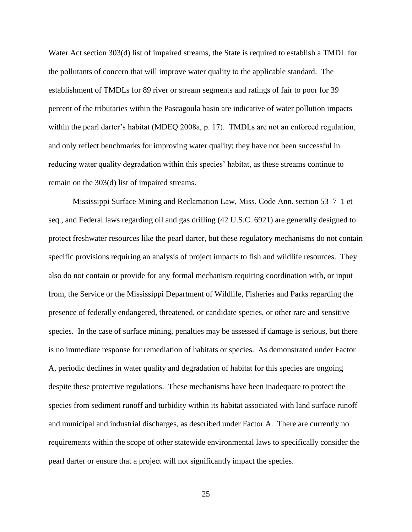Water Act section 303(d) list of impaired streams, the State is required to establish a TMDL for the pollutants of concern that will improve water quality to the applicable standard. The establishment of TMDLs for 89 river or stream segments and ratings of fair to poor for 39 percent of the tributaries within the Pascagoula basin are indicative of water pollution impacts within the pearl darter's habitat (MDEQ 2008a, p. 17). TMDLs are not an enforced regulation, and only reflect benchmarks for improving water quality; they have not been successful in reducing water quality degradation within this species' habitat, as these streams continue to remain on the 303(d) list of impaired streams.

Mississippi Surface Mining and Reclamation Law, Miss. Code Ann. section 53–7–1 et seq., and Federal laws regarding oil and gas drilling (42 U.S.C. 6921) are generally designed to protect freshwater resources like the pearl darter, but these regulatory mechanisms do not contain specific provisions requiring an analysis of project impacts to fish and wildlife resources. They also do not contain or provide for any formal mechanism requiring coordination with, or input from, the Service or the Mississippi Department of Wildlife, Fisheries and Parks regarding the presence of federally endangered, threatened, or candidate species, or other rare and sensitive species. In the case of surface mining, penalties may be assessed if damage is serious, but there is no immediate response for remediation of habitats or species. As demonstrated under Factor A, periodic declines in water quality and degradation of habitat for this species are ongoing despite these protective regulations. These mechanisms have been inadequate to protect the species from sediment runoff and turbidity within its habitat associated with land surface runoff and municipal and industrial discharges, as described under Factor A. There are currently no requirements within the scope of other statewide environmental laws to specifically consider the pearl darter or ensure that a project will not significantly impact the species.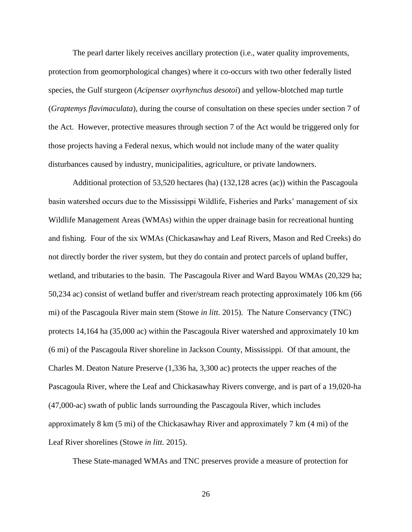The pearl darter likely receives ancillary protection (i.e., water quality improvements, protection from geomorphological changes) where it co-occurs with two other federally listed species, the Gulf sturgeon (*Acipenser oxyrhynchus desotoi*) and yellow-blotched map turtle (*Graptemys flavimaculata*), during the course of consultation on these species under section 7 of the Act. However, protective measures through section 7 of the Act would be triggered only for those projects having a Federal nexus, which would not include many of the water quality disturbances caused by industry, municipalities, agriculture, or private landowners.

Additional protection of 53,520 hectares (ha) (132,128 acres (ac)) within the Pascagoula basin watershed occurs due to the Mississippi Wildlife, Fisheries and Parks' management of six Wildlife Management Areas (WMAs) within the upper drainage basin for recreational hunting and fishing. Four of the six WMAs (Chickasawhay and Leaf Rivers, Mason and Red Creeks) do not directly border the river system, but they do contain and protect parcels of upland buffer, wetland, and tributaries to the basin. The Pascagoula River and Ward Bayou WMAs (20,329 ha; 50,234 ac) consist of wetland buffer and river/stream reach protecting approximately 106 km (66 mi) of the Pascagoula River main stem (Stowe *in litt.* 2015). The Nature Conservancy (TNC) protects 14,164 ha (35,000 ac) within the Pascagoula River watershed and approximately 10 km (6 mi) of the Pascagoula River shoreline in Jackson County, Mississippi. Of that amount, the Charles M. Deaton Nature Preserve (1,336 ha, 3,300 ac) protects the upper reaches of the Pascagoula River, where the Leaf and Chickasawhay Rivers converge, and is part of a 19,020-ha (47,000-ac) swath of public lands surrounding the Pascagoula River, which includes approximately 8 km (5 mi) of the Chickasawhay River and approximately 7 km (4 mi) of the Leaf River shorelines (Stowe *in litt*. 2015).

These State-managed WMAs and TNC preserves provide a measure of protection for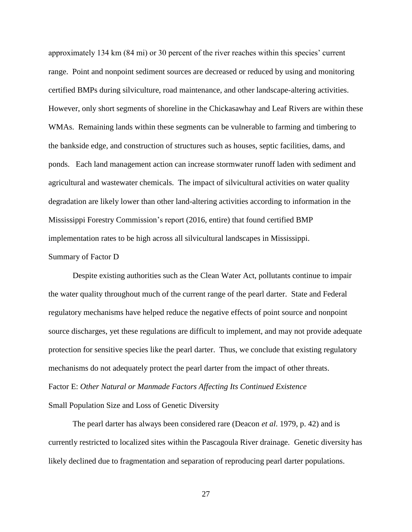approximately 134 km (84 mi) or 30 percent of the river reaches within this species' current range. Point and nonpoint sediment sources are decreased or reduced by using and monitoring certified BMPs during silviculture, road maintenance, and other landscape-altering activities. However, only short segments of shoreline in the Chickasawhay and Leaf Rivers are within these WMAs. Remaining lands within these segments can be vulnerable to farming and timbering to the bankside edge, and construction of structures such as houses, septic facilities, dams, and ponds. Each land management action can increase stormwater runoff laden with sediment and agricultural and wastewater chemicals. The impact of silvicultural activities on water quality degradation are likely lower than other land-altering activities according to information in the Mississippi Forestry Commission's report (2016, entire) that found certified BMP implementation rates to be high across all silvicultural landscapes in Mississippi.

### Summary of Factor D

Despite existing authorities such as the Clean Water Act, pollutants continue to impair the water quality throughout much of the current range of the pearl darter. State and Federal regulatory mechanisms have helped reduce the negative effects of point source and nonpoint source discharges, yet these regulations are difficult to implement, and may not provide adequate protection for sensitive species like the pearl darter. Thus, we conclude that existing regulatory mechanisms do not adequately protect the pearl darter from the impact of other threats. Factor E: *Other Natural or Manmade Factors Affecting Its Continued Existence* Small Population Size and Loss of Genetic Diversity

The pearl darter has always been considered rare (Deacon *et al*. 1979, p. 42) and is currently restricted to localized sites within the Pascagoula River drainage. Genetic diversity has likely declined due to fragmentation and separation of reproducing pearl darter populations.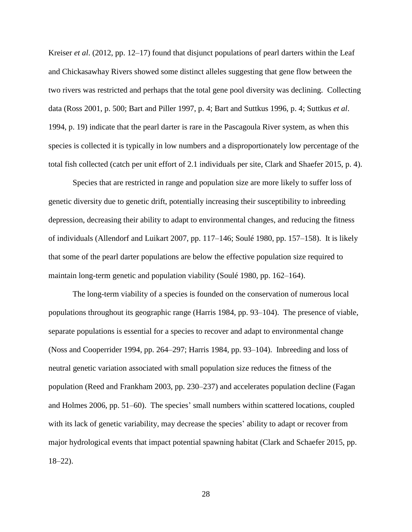Kreiser *et al*. (2012, pp. 12–17) found that disjunct populations of pearl darters within the Leaf and Chickasawhay Rivers showed some distinct alleles suggesting that gene flow between the two rivers was restricted and perhaps that the total gene pool diversity was declining. Collecting data (Ross 2001, p. 500; Bart and Piller 1997, p. 4; Bart and Suttkus 1996, p. 4; Suttkus *et al*. 1994, p. 19) indicate that the pearl darter is rare in the Pascagoula River system, as when this species is collected it is typically in low numbers and a disproportionately low percentage of the total fish collected (catch per unit effort of 2.1 individuals per site, Clark and Shaefer 2015, p. 4).

Species that are restricted in range and population size are more likely to suffer loss of genetic diversity due to genetic drift, potentially increasing their susceptibility to inbreeding depression, decreasing their ability to adapt to environmental changes, and reducing the fitness of individuals (Allendorf and Luikart 2007, pp. 117–146; Soulé 1980, pp. 157–158). It is likely that some of the pearl darter populations are below the effective population size required to maintain long-term genetic and population viability (Soulé 1980, pp. 162–164).

The long-term viability of a species is founded on the conservation of numerous local populations throughout its geographic range (Harris 1984, pp. 93–104). The presence of viable, separate populations is essential for a species to recover and adapt to environmental change (Noss and Cooperrider 1994, pp. 264–297; Harris 1984, pp. 93–104). Inbreeding and loss of neutral genetic variation associated with small population size reduces the fitness of the population (Reed and Frankham 2003, pp. 230–237) and accelerates population decline (Fagan and Holmes 2006, pp. 51–60). The species' small numbers within scattered locations, coupled with its lack of genetic variability, may decrease the species' ability to adapt or recover from major hydrological events that impact potential spawning habitat (Clark and Schaefer 2015, pp.  $18 - 22$ ).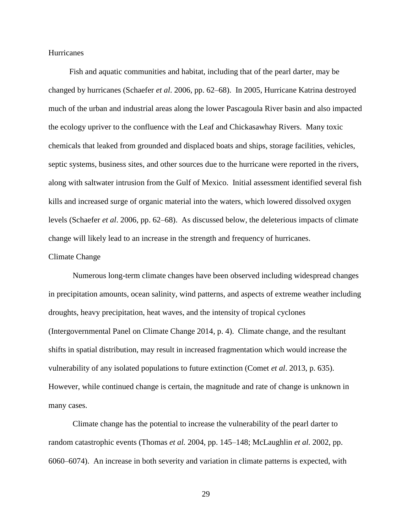### **Hurricanes**

Fish and aquatic communities and habitat, including that of the pearl darter, may be changed by hurricanes (Schaefer *et al*. 2006, pp. 62–68). In 2005, Hurricane Katrina destroyed much of the urban and industrial areas along the lower Pascagoula River basin and also impacted the ecology upriver to the confluence with the Leaf and Chickasawhay Rivers. Many toxic chemicals that leaked from grounded and displaced boats and ships, storage facilities, vehicles, septic systems, business sites, and other sources due to the hurricane were reported in the rivers, along with saltwater intrusion from the Gulf of Mexico. Initial assessment identified several fish kills and increased surge of organic material into the waters, which lowered dissolved oxygen levels (Schaefer *et al*. 2006, pp. 62–68). As discussed below, the deleterious impacts of climate change will likely lead to an increase in the strength and frequency of hurricanes.

#### Climate Change

Numerous long-term climate changes have been observed including widespread changes in precipitation amounts, ocean salinity, wind patterns, and aspects of extreme weather including droughts, heavy precipitation, heat waves, and the intensity of tropical cyclones (Intergovernmental Panel on Climate Change 2014, p. 4). Climate change, and the resultant shifts in spatial distribution, may result in increased fragmentation which would increase the vulnerability of any isolated populations to future extinction (Comet *et al*. 2013, p. 635). However, while continued change is certain, the magnitude and rate of change is unknown in many cases.

Climate change has the potential to increase the vulnerability of the pearl darter to random catastrophic events (Thomas *et al.* 2004, pp. 145–148; McLaughlin *et al.* 2002, pp. 6060–6074). An increase in both severity and variation in climate patterns is expected, with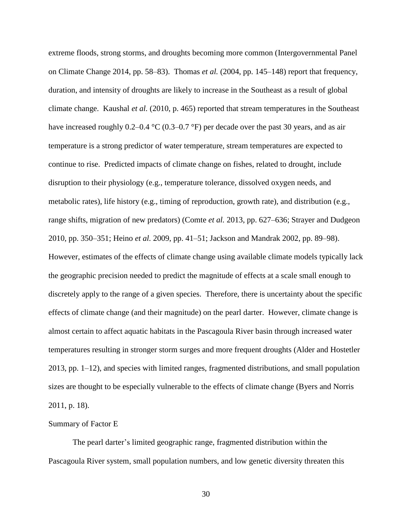extreme floods, strong storms, and droughts becoming more common (Intergovernmental Panel on Climate Change 2014, pp. 58–83). Thomas *et al.* (2004, pp. 145–148) report that frequency, duration, and intensity of droughts are likely to increase in the Southeast as a result of global climate change. Kaushal *et al.* (2010, p. 465) reported that stream temperatures in the Southeast have increased roughly 0.2–0.4 °C (0.3–0.7 °F) per decade over the past 30 years, and as air temperature is a strong predictor of water temperature, stream temperatures are expected to continue to rise. Predicted impacts of climate change on fishes, related to drought, include disruption to their physiology (e.g., temperature tolerance, dissolved oxygen needs, and metabolic rates), life history (e.g., timing of reproduction, growth rate), and distribution (e.g., range shifts, migration of new predators) (Comte *et al.* 2013, pp. 627–636; Strayer and Dudgeon 2010, pp. 350–351; Heino *et al.* 2009, pp. 41–51; Jackson and Mandrak 2002, pp. 89–98). However, estimates of the effects of climate change using available climate models typically lack the geographic precision needed to predict the magnitude of effects at a scale small enough to discretely apply to the range of a given species. Therefore, there is uncertainty about the specific effects of climate change (and their magnitude) on the pearl darter. However, climate change is almost certain to affect aquatic habitats in the Pascagoula River basin through increased water temperatures resulting in stronger storm surges and more frequent droughts (Alder and Hostetler 2013, pp. 1–12), and species with limited ranges, fragmented distributions, and small population sizes are thought to be especially vulnerable to the effects of climate change (Byers and Norris 2011, p. 18).

### Summary of Factor E

The pearl darter's limited geographic range, fragmented distribution within the Pascagoula River system, small population numbers, and low genetic diversity threaten this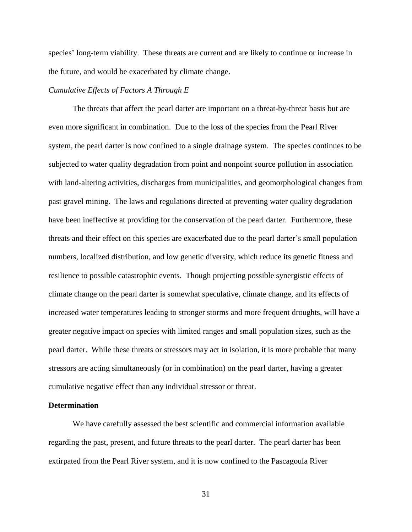species' long-term viability. These threats are current and are likely to continue or increase in the future, and would be exacerbated by climate change.

### *Cumulative Effects of Factors A Through E*

The threats that affect the pearl darter are important on a threat-by-threat basis but are even more significant in combination. Due to the loss of the species from the Pearl River system, the pearl darter is now confined to a single drainage system. The species continues to be subjected to water quality degradation from point and nonpoint source pollution in association with land-altering activities, discharges from municipalities, and geomorphological changes from past gravel mining. The laws and regulations directed at preventing water quality degradation have been ineffective at providing for the conservation of the pearl darter. Furthermore, these threats and their effect on this species are exacerbated due to the pearl darter's small population numbers, localized distribution, and low genetic diversity, which reduce its genetic fitness and resilience to possible catastrophic events. Though projecting possible synergistic effects of climate change on the pearl darter is somewhat speculative, climate change, and its effects of increased water temperatures leading to stronger storms and more frequent droughts, will have a greater negative impact on species with limited ranges and small population sizes, such as the pearl darter. While these threats or stressors may act in isolation, it is more probable that many stressors are acting simultaneously (or in combination) on the pearl darter, having a greater cumulative negative effect than any individual stressor or threat.

### **Determination**

We have carefully assessed the best scientific and commercial information available regarding the past, present, and future threats to the pearl darter. The pearl darter has been extirpated from the Pearl River system, and it is now confined to the Pascagoula River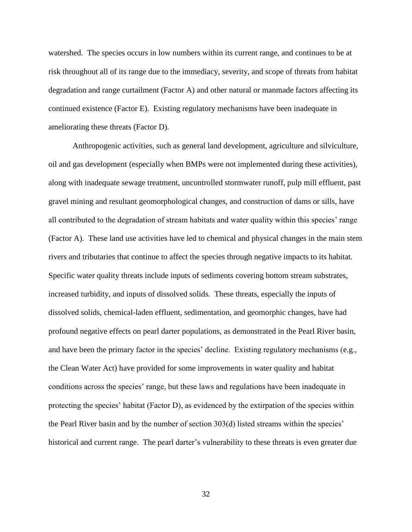watershed. The species occurs in low numbers within its current range, and continues to be at risk throughout all of its range due to the immediacy, severity, and scope of threats from habitat degradation and range curtailment (Factor A) and other natural or manmade factors affecting its continued existence (Factor E). Existing regulatory mechanisms have been inadequate in ameliorating these threats (Factor D).

Anthropogenic activities, such as general land development, agriculture and silviculture, oil and gas development (especially when BMPs were not implemented during these activities), along with inadequate sewage treatment, uncontrolled stormwater runoff, pulp mill effluent, past gravel mining and resultant geomorphological changes, and construction of dams or sills, have all contributed to the degradation of stream habitats and water quality within this species' range (Factor A). These land use activities have led to chemical and physical changes in the main stem rivers and tributaries that continue to affect the species through negative impacts to its habitat. Specific water quality threats include inputs of sediments covering bottom stream substrates, increased turbidity, and inputs of dissolved solids. These threats, especially the inputs of dissolved solids, chemical-laden effluent, sedimentation, and geomorphic changes, have had profound negative effects on pearl darter populations, as demonstrated in the Pearl River basin, and have been the primary factor in the species' decline. Existing regulatory mechanisms (e.g., the Clean Water Act) have provided for some improvements in water quality and habitat conditions across the species' range, but these laws and regulations have been inadequate in protecting the species' habitat (Factor D), as evidenced by the extirpation of the species within the Pearl River basin and by the number of section 303(d) listed streams within the species' historical and current range. The pearl darter's vulnerability to these threats is even greater due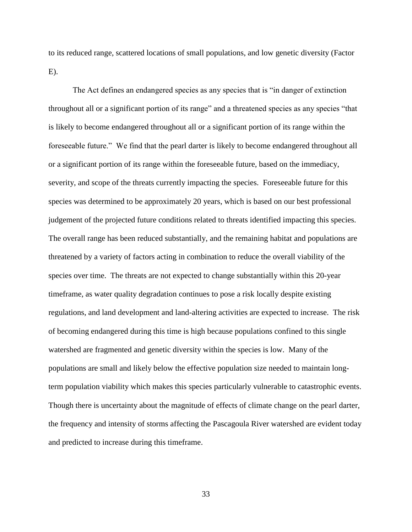to its reduced range, scattered locations of small populations, and low genetic diversity (Factor  $E$ ).

The Act defines an endangered species as any species that is "in danger of extinction throughout all or a significant portion of its range" and a threatened species as any species "that is likely to become endangered throughout all or a significant portion of its range within the foreseeable future." We find that the pearl darter is likely to become endangered throughout all or a significant portion of its range within the foreseeable future, based on the immediacy, severity, and scope of the threats currently impacting the species. Foreseeable future for this species was determined to be approximately 20 years, which is based on our best professional judgement of the projected future conditions related to threats identified impacting this species. The overall range has been reduced substantially, and the remaining habitat and populations are threatened by a variety of factors acting in combination to reduce the overall viability of the species over time. The threats are not expected to change substantially within this 20-year timeframe, as water quality degradation continues to pose a risk locally despite existing regulations, and land development and land-altering activities are expected to increase. The risk of becoming endangered during this time is high because populations confined to this single watershed are fragmented and genetic diversity within the species is low. Many of the populations are small and likely below the effective population size needed to maintain longterm population viability which makes this species particularly vulnerable to catastrophic events. Though there is uncertainty about the magnitude of effects of climate change on the pearl darter, the frequency and intensity of storms affecting the Pascagoula River watershed are evident today and predicted to increase during this timeframe.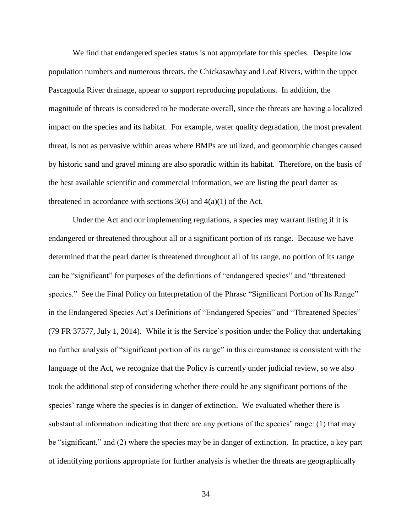We find that endangered species status is not appropriate for this species. Despite low population numbers and numerous threats, the Chickasawhay and Leaf Rivers, within the upper Pascagoula River drainage, appear to support reproducing populations. In addition, the magnitude of threats is considered to be moderate overall, since the threats are having a localized impact on the species and its habitat. For example, water quality degradation, the most prevalent threat, is not as pervasive within areas where BMPs are utilized, and geomorphic changes caused by historic sand and gravel mining are also sporadic within its habitat. Therefore, on the basis of the best available scientific and commercial information, we are listing the pearl darter as threatened in accordance with sections  $3(6)$  and  $4(a)(1)$  of the Act.

Under the Act and our implementing regulations, a species may warrant listing if it is endangered or threatened throughout all or a significant portion of its range. Because we have determined that the pearl darter is threatened throughout all of its range, no portion of its range can be "significant" for purposes of the definitions of "endangered species" and "threatened species." See the Final Policy on Interpretation of the Phrase "Significant Portion of Its Range" in the Endangered Species Act's Definitions of "Endangered Species" and "Threatened Species" (79 FR 37577, July 1, 2014). While it is the Service's position under the Policy that undertaking no further analysis of "significant portion of its range" in this circumstance is consistent with the language of the Act, we recognize that the Policy is currently under judicial review, so we also took the additional step of considering whether there could be any significant portions of the species' range where the species is in danger of extinction. We evaluated whether there is substantial information indicating that there are any portions of the species' range: (1) that may be "significant," and (2) where the species may be in danger of extinction. In practice, a key part of identifying portions appropriate for further analysis is whether the threats are geographically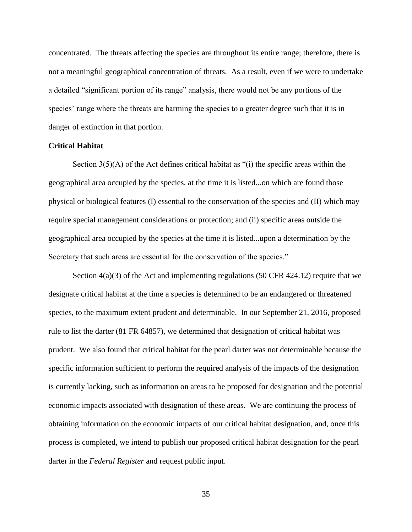concentrated. The threats affecting the species are throughout its entire range; therefore, there is not a meaningful geographical concentration of threats. As a result, even if we were to undertake a detailed "significant portion of its range" analysis, there would not be any portions of the species' range where the threats are harming the species to a greater degree such that it is in danger of extinction in that portion.

### **Critical Habitat**

Section 3(5)(A) of the Act defines critical habitat as "(i) the specific areas within the geographical area occupied by the species, at the time it is listed...on which are found those physical or biological features (I) essential to the conservation of the species and (II) which may require special management considerations or protection; and (ii) specific areas outside the geographical area occupied by the species at the time it is listed...upon a determination by the Secretary that such areas are essential for the conservation of the species."

Section  $4(a)(3)$  of the Act and implementing regulations (50 CFR 424.12) require that we designate critical habitat at the time a species is determined to be an endangered or threatened species, to the maximum extent prudent and determinable. In our September 21, 2016, proposed rule to list the darter (81 FR 64857), we determined that designation of critical habitat was prudent. We also found that critical habitat for the pearl darter was not determinable because the specific information sufficient to perform the required analysis of the impacts of the designation is currently lacking, such as information on areas to be proposed for designation and the potential economic impacts associated with designation of these areas. We are continuing the process of obtaining information on the economic impacts of our critical habitat designation, and, once this process is completed, we intend to publish our proposed critical habitat designation for the pearl darter in the *Federal Register* and request public input.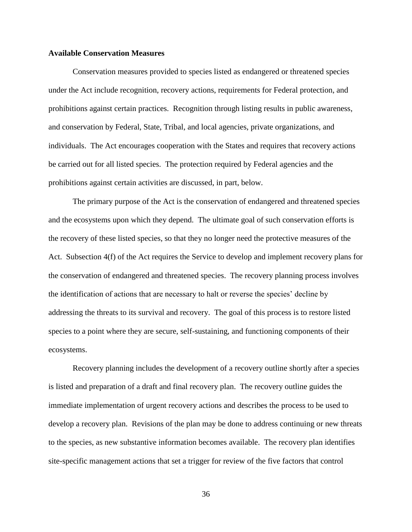### **Available Conservation Measures**

Conservation measures provided to species listed as endangered or threatened species under the Act include recognition, recovery actions, requirements for Federal protection, and prohibitions against certain practices. Recognition through listing results in public awareness, and conservation by Federal, State, Tribal, and local agencies, private organizations, and individuals. The Act encourages cooperation with the States and requires that recovery actions be carried out for all listed species. The protection required by Federal agencies and the prohibitions against certain activities are discussed, in part, below.

The primary purpose of the Act is the conservation of endangered and threatened species and the ecosystems upon which they depend. The ultimate goal of such conservation efforts is the recovery of these listed species, so that they no longer need the protective measures of the Act. Subsection 4(f) of the Act requires the Service to develop and implement recovery plans for the conservation of endangered and threatened species. The recovery planning process involves the identification of actions that are necessary to halt or reverse the species' decline by addressing the threats to its survival and recovery. The goal of this process is to restore listed species to a point where they are secure, self-sustaining, and functioning components of their ecosystems.

Recovery planning includes the development of a recovery outline shortly after a species is listed and preparation of a draft and final recovery plan. The recovery outline guides the immediate implementation of urgent recovery actions and describes the process to be used to develop a recovery plan. Revisions of the plan may be done to address continuing or new threats to the species, as new substantive information becomes available. The recovery plan identifies site-specific management actions that set a trigger for review of the five factors that control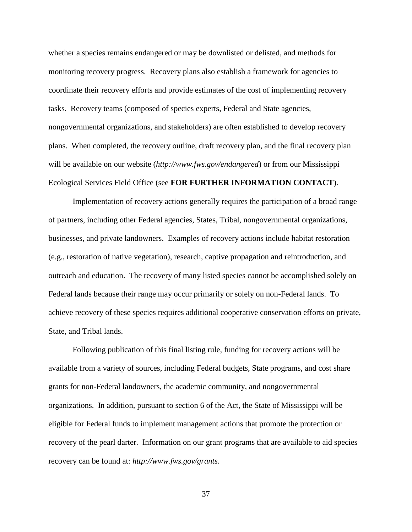whether a species remains endangered or may be downlisted or delisted, and methods for monitoring recovery progress. Recovery plans also establish a framework for agencies to coordinate their recovery efforts and provide estimates of the cost of implementing recovery tasks. Recovery teams (composed of species experts, Federal and State agencies, nongovernmental organizations, and stakeholders) are often established to develop recovery plans. When completed, the recovery outline, draft recovery plan, and the final recovery plan will be available on our website (*http://www.fws.gov/endangered*) or from our Mississippi Ecological Services Field Office (see **FOR FURTHER INFORMATION CONTACT**).

Implementation of recovery actions generally requires the participation of a broad range of partners, including other Federal agencies, States, Tribal, nongovernmental organizations, businesses, and private landowners. Examples of recovery actions include habitat restoration (e.g., restoration of native vegetation), research, captive propagation and reintroduction, and outreach and education. The recovery of many listed species cannot be accomplished solely on Federal lands because their range may occur primarily or solely on non-Federal lands. To achieve recovery of these species requires additional cooperative conservation efforts on private, State, and Tribal lands.

Following publication of this final listing rule, funding for recovery actions will be available from a variety of sources, including Federal budgets, State programs, and cost share grants for non-Federal landowners, the academic community, and nongovernmental organizations. In addition, pursuant to section 6 of the Act, the State of Mississippi will be eligible for Federal funds to implement management actions that promote the protection or recovery of the pearl darter. Information on our grant programs that are available to aid species recovery can be found at: *http://www.fws.gov/grants*.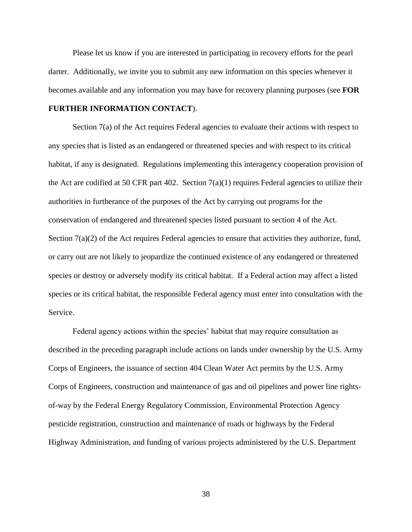Please let us know if you are interested in participating in recovery efforts for the pearl darter. Additionally, we invite you to submit any new information on this species whenever it becomes available and any information you may have for recovery planning purposes (see **FOR** 

## **FURTHER INFORMATION CONTACT**).

Section 7(a) of the Act requires Federal agencies to evaluate their actions with respect to any species that is listed as an endangered or threatened species and with respect to its critical habitat, if any is designated. Regulations implementing this interagency cooperation provision of the Act are codified at 50 CFR part 402. Section  $7(a)(1)$  requires Federal agencies to utilize their authorities in furtherance of the purposes of the Act by carrying out programs for the conservation of endangered and threatened species listed pursuant to section 4 of the Act. Section 7(a)(2) of the Act requires Federal agencies to ensure that activities they authorize, fund, or carry out are not likely to jeopardize the continued existence of any endangered or threatened species or destroy or adversely modify its critical habitat. If a Federal action may affect a listed species or its critical habitat, the responsible Federal agency must enter into consultation with the Service.

Federal agency actions within the species' habitat that may require consultation as described in the preceding paragraph include actions on lands under ownership by the U.S. Army Corps of Engineers, the issuance of section 404 Clean Water Act permits by the U.S. Army Corps of Engineers, construction and maintenance of gas and oil pipelines and power line rightsof-way by the Federal Energy Regulatory Commission, Environmental Protection Agency pesticide registration, construction and maintenance of roads or highways by the Federal Highway Administration, and funding of various projects administered by the U.S. Department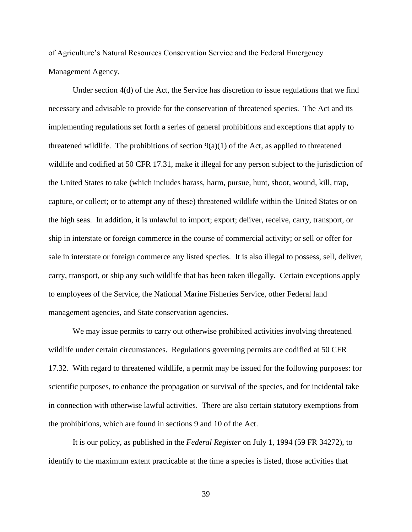of Agriculture's Natural Resources Conservation Service and the Federal Emergency Management Agency.

Under section  $4(d)$  of the Act, the Service has discretion to issue regulations that we find necessary and advisable to provide for the conservation of threatened species. The Act and its implementing regulations set forth a series of general prohibitions and exceptions that apply to threatened wildlife. The prohibitions of section  $9(a)(1)$  of the Act, as applied to threatened wildlife and codified at 50 CFR 17.31, make it illegal for any person subject to the jurisdiction of the United States to take (which includes harass, harm, pursue, hunt, shoot, wound, kill, trap, capture, or collect; or to attempt any of these) threatened wildlife within the United States or on the high seas. In addition, it is unlawful to import; export; deliver, receive, carry, transport, or ship in interstate or foreign commerce in the course of commercial activity; or sell or offer for sale in interstate or foreign commerce any listed species. It is also illegal to possess, sell, deliver, carry, transport, or ship any such wildlife that has been taken illegally. Certain exceptions apply to employees of the Service, the National Marine Fisheries Service, other Federal land management agencies, and State conservation agencies.

We may issue permits to carry out otherwise prohibited activities involving threatened wildlife under certain circumstances. Regulations governing permits are codified at 50 CFR 17.32. With regard to threatened wildlife, a permit may be issued for the following purposes: for scientific purposes, to enhance the propagation or survival of the species, and for incidental take in connection with otherwise lawful activities. There are also certain statutory exemptions from the prohibitions, which are found in sections 9 and 10 of the Act.

It is our policy, as published in the *Federal Register* on July 1, 1994 (59 FR 34272), to identify to the maximum extent practicable at the time a species is listed, those activities that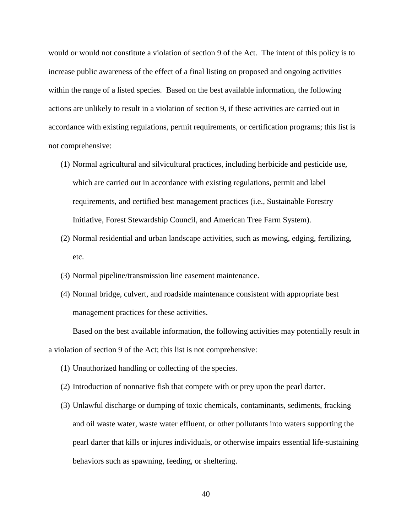would or would not constitute a violation of section 9 of the Act. The intent of this policy is to increase public awareness of the effect of a final listing on proposed and ongoing activities within the range of a listed species. Based on the best available information, the following actions are unlikely to result in a violation of section 9, if these activities are carried out in accordance with existing regulations, permit requirements, or certification programs; this list is not comprehensive:

- (1) Normal agricultural and silvicultural practices, including herbicide and pesticide use, which are carried out in accordance with existing regulations, permit and label requirements, and certified best management practices (i.e., Sustainable Forestry Initiative, Forest Stewardship Council, and American Tree Farm System).
- (2) Normal residential and urban landscape activities, such as mowing, edging, fertilizing, etc.
- (3) Normal pipeline/transmission line easement maintenance.
- (4) Normal bridge, culvert, and roadside maintenance consistent with appropriate best management practices for these activities.

Based on the best available information, the following activities may potentially result in a violation of section 9 of the Act; this list is not comprehensive:

- (1) Unauthorized handling or collecting of the species.
- (2) Introduction of nonnative fish that compete with or prey upon the pearl darter.
- (3) Unlawful discharge or dumping of toxic chemicals, contaminants, sediments, fracking and oil waste water, waste water effluent, or other pollutants into waters supporting the pearl darter that kills or injures individuals, or otherwise impairs essential life-sustaining behaviors such as spawning, feeding, or sheltering.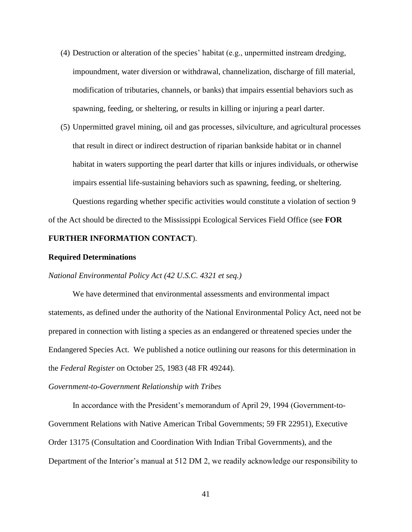- (4) Destruction or alteration of the species' habitat (e.g., unpermitted instream dredging, impoundment, water diversion or withdrawal, channelization, discharge of fill material, modification of tributaries, channels, or banks) that impairs essential behaviors such as spawning, feeding, or sheltering, or results in killing or injuring a pearl darter.
- (5) Unpermitted gravel mining, oil and gas processes, silviculture, and agricultural processes that result in direct or indirect destruction of riparian bankside habitat or in channel habitat in waters supporting the pearl darter that kills or injures individuals, or otherwise impairs essential life-sustaining behaviors such as spawning, feeding, or sheltering. Questions regarding whether specific activities would constitute a violation of section 9

of the Act should be directed to the Mississippi Ecological Services Field Office (see **FOR** 

## **FURTHER INFORMATION CONTACT**).

### **Required Determinations**

*National Environmental Policy Act (42 U.S.C. 4321 et seq.)*

We have determined that environmental assessments and environmental impact statements, as defined under the authority of the National Environmental Policy Act, need not be prepared in connection with listing a species as an endangered or threatened species under the Endangered Species Act. We published a notice outlining our reasons for this determination in the *Federal Register* on October 25, 1983 (48 FR 49244).

#### *Government-to-Government Relationship with Tribes*

In accordance with the President's memorandum of April 29, 1994 (Government-to-Government Relations with Native American Tribal Governments; 59 FR 22951), Executive Order 13175 (Consultation and Coordination With Indian Tribal Governments), and the Department of the Interior's manual at 512 DM 2, we readily acknowledge our responsibility to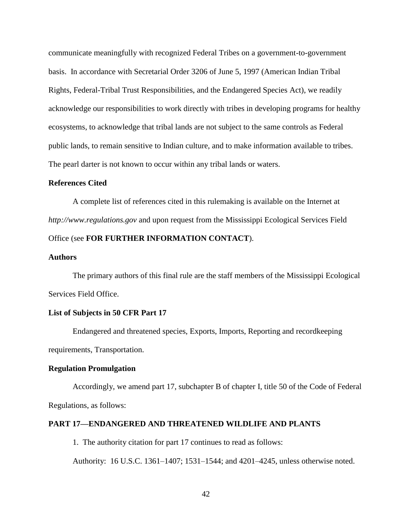communicate meaningfully with recognized Federal Tribes on a government-to-government basis. In accordance with Secretarial Order 3206 of June 5, 1997 (American Indian Tribal Rights, Federal-Tribal Trust Responsibilities, and the Endangered Species Act), we readily acknowledge our responsibilities to work directly with tribes in developing programs for healthy ecosystems, to acknowledge that tribal lands are not subject to the same controls as Federal public lands, to remain sensitive to Indian culture, and to make information available to tribes. The pearl darter is not known to occur within any tribal lands or waters.

### **References Cited**

A complete list of references cited in this rulemaking is available on the Internet at *http://www.regulations.gov* and upon request from the Mississippi Ecological Services Field Office (see **FOR FURTHER INFORMATION CONTACT**).

### **Authors**

The primary authors of this final rule are the staff members of the Mississippi Ecological Services Field Office.

### **List of Subjects in 50 CFR Part 17**

Endangered and threatened species, Exports, Imports, Reporting and recordkeeping requirements, Transportation.

#### **Regulation Promulgation**

Accordingly, we amend part 17, subchapter B of chapter I, title 50 of the Code of Federal Regulations, as follows:

### **PART 17—ENDANGERED AND THREATENED WILDLIFE AND PLANTS**

1. The authority citation for part 17 continues to read as follows:

Authority: 16 U.S.C. 1361–1407; 1531–1544; and 4201–4245, unless otherwise noted.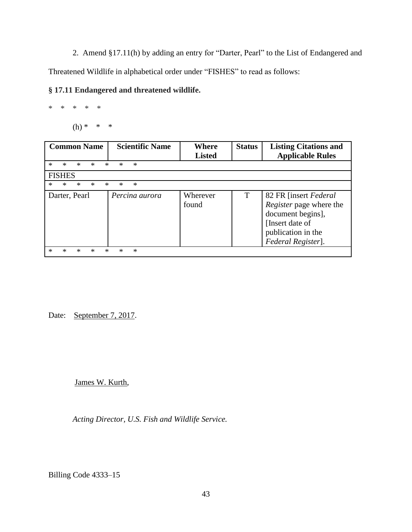2. Amend §17.11(h) by adding an entry for "Darter, Pearl" to the List of Endangered and

Threatened Wildlife in alphabetical order under "FISHES" to read as follows:

# **§ 17.11 Endangered and threatened wildlife.**

\* \* \* \* \*

(h) \* \* \*

| <b>Common Name</b>                                  | <b>Scientific Name</b> | Where<br><b>Listed</b> | <b>Status</b> | <b>Listing Citations and</b><br><b>Applicable Rules</b>                                                                               |
|-----------------------------------------------------|------------------------|------------------------|---------------|---------------------------------------------------------------------------------------------------------------------------------------|
| $\ast$<br>$\ast$<br>$\ast$<br>$\ast$<br>ж<br>×<br>* |                        |                        |               |                                                                                                                                       |
| <b>FISHES</b>                                       |                        |                        |               |                                                                                                                                       |
| *<br>*<br>*<br>*<br>*                               | $\ast$<br>*            |                        |               |                                                                                                                                       |
| Darter, Pearl                                       | Percina aurora         | Wherever<br>found      | T             | 82 FR [insert Federal]<br>Register page where the<br>document begins],<br>[Insert date of<br>publication in the<br>Federal Register]. |

Date: September 7, 2017.

James W. Kurth,

*Acting Director, U.S. Fish and Wildlife Service.*

Billing Code 4333–15